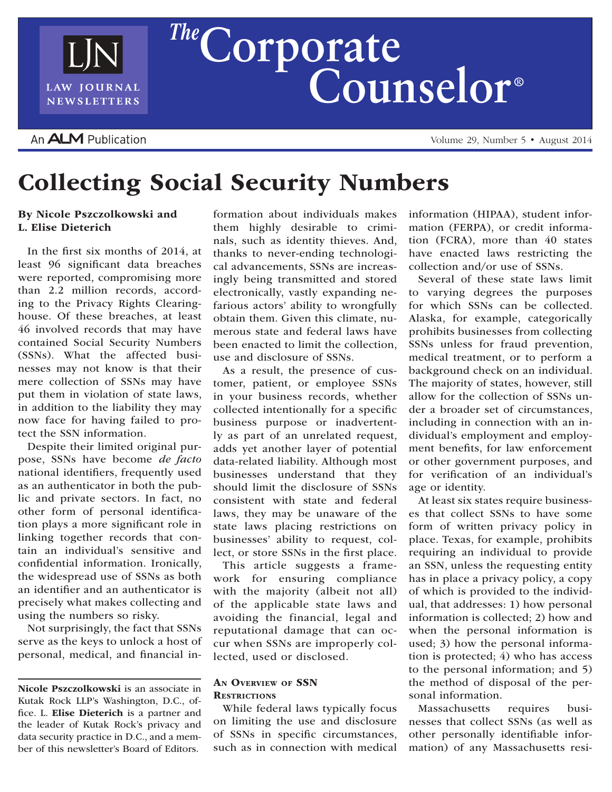

# **r**  $\left\{\n \begin{array}{c}\n \text{The Corporte} \\
\text{Conorder} \\
\text{Countselor}^{\circ}\n \end{array}\n \right\}$

# An **ALM** Publication

Volume 29, Number 5 • August 2014

# Collecting Social Security Numbers

# By Nicole Pszczolkowski and L. Elise Dieterich

In the first six months of 2014, at least 96 significant data breaches were reported, compromising more than 2.2 million records, according to the Privacy Rights Clearinghouse. Of these breaches, at least 46 involved records that may have contained Social Security Numbers (SSNs). What the affected businesses may not know is that their mere collection of SSNs may have put them in violation of state laws, in addition to the liability they may now face for having failed to protect the SSN information.

Despite their limited original purpose, SSNs have become *de facto* national identifiers, frequently used as an authenticator in both the public and private sectors. In fact, no other form of personal identification plays a more significant role in linking together records that contain an individual's sensitive and confidential information. Ironically, the widespread use of SSNs as both an identifier and an authenticator is precisely what makes collecting and using the numbers so risky.

Not surprisingly, the fact that SSNs serve as the keys to unlock a host of personal, medical, and financial in-

Nicole Pszczolkowski is an associate in Kutak Rock LLP's Washington, D.C., office. L. Elise Dieterich is a partner and the leader of Kutak Rock's privacy and data security practice in D.C., and a member of this newsletter's Board of Editors.

formation about individuals makes them highly desirable to criminals, such as identity thieves. And, thanks to never-ending technological advancements, SSNs are increasingly being transmitted and stored electronically, vastly expanding nefarious actors' ability to wrongfully obtain them. Given this climate, numerous state and federal laws have been enacted to limit the collection, use and disclosure of SSNs.

As a result, the presence of customer, patient, or employee SSNs in your business records, whether collected intentionally for a specific business purpose or inadvertently as part of an unrelated request, adds yet another layer of potential data-related liability. Although most businesses understand that they should limit the disclosure of SSNs consistent with state and federal laws, they may be unaware of the state laws placing restrictions on businesses' ability to request, collect, or store SSNs in the first place.

This article suggests a framework for ensuring compliance with the majority (albeit not all) of the applicable state laws and avoiding the financial, legal and reputational damage that can occur when SSNs are improperly collected, used or disclosed.

#### An Overview of SSN **RESTRICTIONS**

While federal laws typically focus on limiting the use and disclosure of SSNs in specific circumstances, such as in connection with medical information (HIPAA), student information (FERPA), or credit information (FCRA), more than 40 states have enacted laws restricting the collection and/or use of SSNs.

Several of these state laws limit to varying degrees the purposes for which SSNs can be collected. Alaska, for example, categorically prohibits businesses from collecting SSNs unless for fraud prevention, medical treatment, or to perform a background check on an individual. The majority of states, however, still allow for the collection of SSNs under a broader set of circumstances, including in connection with an individual's employment and employment benefits, for law enforcement or other government purposes, and for verification of an individual's age or identity.

At least six states require businesses that collect SSNs to have some form of written privacy policy in place. Texas, for example, prohibits requiring an individual to provide an SSN, unless the requesting entity has in place a privacy policy, a copy of which is provided to the individual, that addresses: 1) how personal information is collected; 2) how and when the personal information is used; 3) how the personal information is protected; 4) who has access to the personal information; and 5) the method of disposal of the personal information.

Massachusetts requires businesses that collect SSNs (as well as other personally identifiable information) of any Massachusetts resi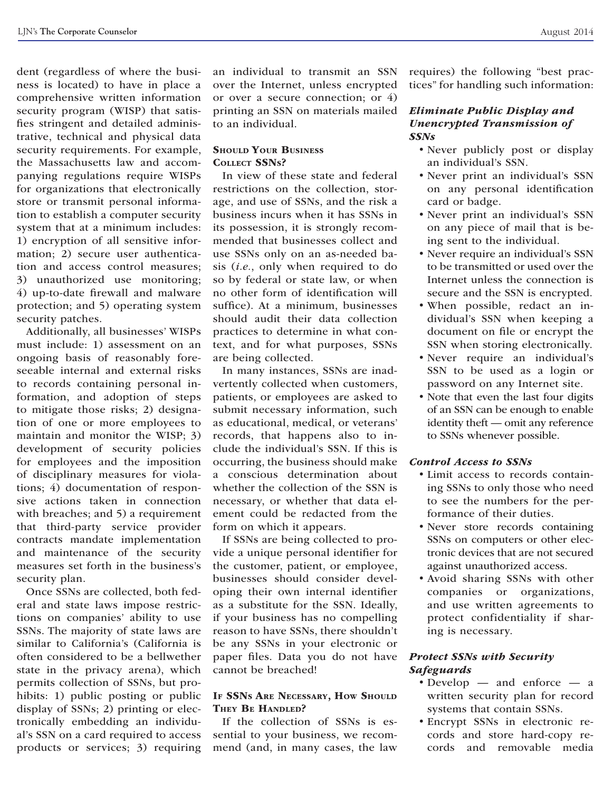dent (regardless of where the business is located) to have in place a comprehensive written information security program (WISP) that satisfies stringent and detailed administrative, technical and physical data security requirements. For example, the Massachusetts law and accompanying regulations require WISPs for organizations that electronically store or transmit personal information to establish a computer security system that at a minimum includes: 1) encryption of all sensitive information; 2) secure user authentication and access control measures; 3) unauthorized use monitoring; 4) up-to-date firewall and malware protection; and 5) operating system security patches.

Additionally, all businesses' WISPs must include: 1) assessment on an ongoing basis of reasonably foreseeable internal and external risks to records containing personal information, and adoption of steps to mitigate those risks; 2) designation of one or more employees to maintain and monitor the WISP; 3) development of security policies for employees and the imposition of disciplinary measures for violations; 4) documentation of responsive actions taken in connection with breaches; and 5) a requirement that third-party service provider contracts mandate implementation and maintenance of the security measures set forth in the business's security plan.

Once SSNs are collected, both federal and state laws impose restrictions on companies' ability to use SSNs. The majority of state laws are similar to California's (California is often considered to be a bellwether state in the privacy arena), which permits collection of SSNs, but prohibits: 1) public posting or public display of SSNs; 2) printing or electronically embedding an individual's SSN on a card required to access products or services; 3) requiring

an individual to transmit an SSN over the Internet, unless encrypted or over a secure connection; or 4) printing an SSN on materials mailed to an individual.

#### SHOULD YOUR BUSINESS COLLECT SSNs?

In view of these state and federal restrictions on the collection, storage, and use of SSNs, and the risk a business incurs when it has SSNs in its possession, it is strongly recommended that businesses collect and use SSNs only on an as-needed basis (*i.e.*, only when required to do so by federal or state law, or when no other form of identification will suffice). At a minimum, businesses should audit their data collection practices to determine in what context, and for what purposes, SSNs are being collected.

In many instances, SSNs are inadvertently collected when customers, patients, or employees are asked to submit necessary information, such as educational, medical, or veterans' records, that happens also to include the individual's SSN. If this is occurring, the business should make a conscious determination about whether the collection of the SSN is necessary, or whether that data element could be redacted from the form on which it appears.

If SSNs are being collected to provide a unique personal identifier for the customer, patient, or employee, businesses should consider developing their own internal identifier as a substitute for the SSN. Ideally, if your business has no compelling reason to have SSNs, there shouldn't be any SSNs in your electronic or paper files. Data you do not have cannot be breached!

# If SSNs Are Necessary, How Should THEY BE HANDLED?

If the collection of SSNs is essential to your business, we recommend (and, in many cases, the law

requires) the following "best practices" for handling such information:

# *Eliminate Public Display and Unencrypted Transmission of SSNs*

- Never publicly post or display an individual's SSN.
- Never print an individual's SSN on any personal identification card or badge.
- • Never print an individual's SSN on any piece of mail that is being sent to the individual.
- Never require an individual's SSN to be transmitted or used over the Internet unless the connection is secure and the SSN is encrypted.
- • When possible, redact an individual's SSN when keeping a document on file or encrypt the SSN when storing electronically.
- • Never require an individual's SSN to be used as a login or password on any Internet site.
- Note that even the last four digits of an SSN can be enough to enable identity theft — omit any reference to SSNs whenever possible.

# *Control Access to SSNs*

- Limit access to records containing SSNs to only those who need to see the numbers for the performance of their duties.
- Never store records containing SSNs on computers or other electronic devices that are not secured against unauthorized access.
- • Avoid sharing SSNs with other companies or organizations, and use written agreements to protect confidentiality if sharing is necessary.

# *Protect SSNs with Security Safeguards*

- Develop and enforce a written security plan for record systems that contain SSNs.
- • Encrypt SSNs in electronic records and store hard-copy records and removable media